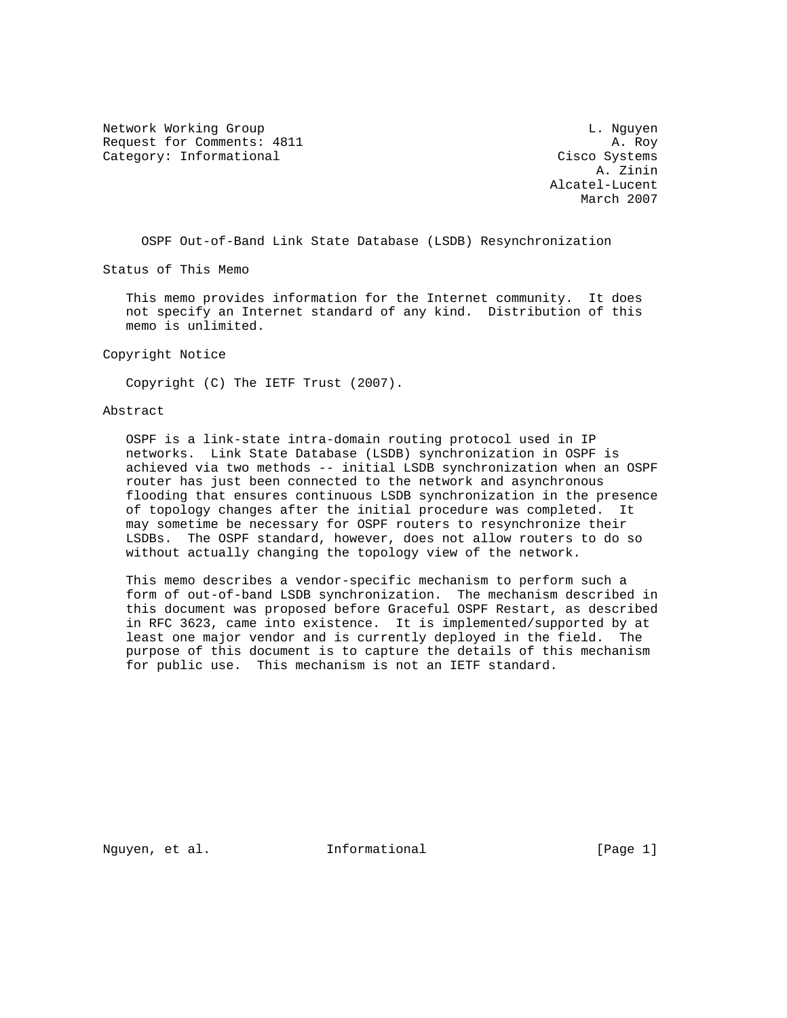Network Working Group and the contract of the contract of the contract of the contract of the contract of the contract of the contract of the contract of the contract of the contract of the contract of the contract of the Request for Comments: 4811 A. Roy Category: Informational Cisco Systems

 A. Zinin Alcatel-Lucent March 2007

OSPF Out-of-Band Link State Database (LSDB) Resynchronization

Status of This Memo

 This memo provides information for the Internet community. It does not specify an Internet standard of any kind. Distribution of this memo is unlimited.

Copyright Notice

Copyright (C) The IETF Trust (2007).

## Abstract

 OSPF is a link-state intra-domain routing protocol used in IP networks. Link State Database (LSDB) synchronization in OSPF is achieved via two methods -- initial LSDB synchronization when an OSPF router has just been connected to the network and asynchronous flooding that ensures continuous LSDB synchronization in the presence of topology changes after the initial procedure was completed. It may sometime be necessary for OSPF routers to resynchronize their LSDBs. The OSPF standard, however, does not allow routers to do so without actually changing the topology view of the network.

 This memo describes a vendor-specific mechanism to perform such a form of out-of-band LSDB synchronization. The mechanism described in this document was proposed before Graceful OSPF Restart, as described in RFC 3623, came into existence. It is implemented/supported by at least one major vendor and is currently deployed in the field. The purpose of this document is to capture the details of this mechanism for public use. This mechanism is not an IETF standard.

Nguyen, et al.  $I_n$  Informational [Page 1]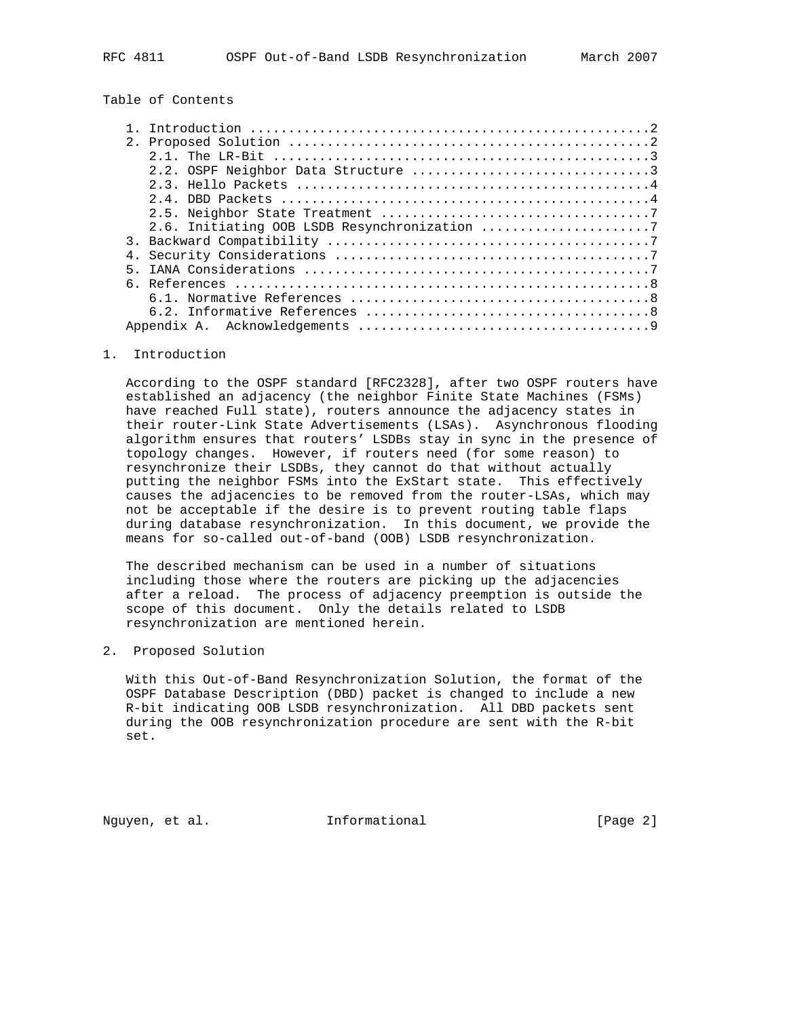# Table of Contents

| 2.6. Initiating OOB LSDB Resynchronization 7 |
|----------------------------------------------|
|                                              |
|                                              |
|                                              |
|                                              |
|                                              |
|                                              |
|                                              |

#### 1. Introduction

 According to the OSPF standard [RFC2328], after two OSPF routers have established an adjacency (the neighbor Finite State Machines (FSMs) have reached Full state), routers announce the adjacency states in their router-Link State Advertisements (LSAs). Asynchronous flooding algorithm ensures that routers' LSDBs stay in sync in the presence of topology changes. However, if routers need (for some reason) to resynchronize their LSDBs, they cannot do that without actually putting the neighbor FSMs into the ExStart state. This effectively causes the adjacencies to be removed from the router-LSAs, which may not be acceptable if the desire is to prevent routing table flaps during database resynchronization. In this document, we provide the means for so-called out-of-band (OOB) LSDB resynchronization.

 The described mechanism can be used in a number of situations including those where the routers are picking up the adjacencies after a reload. The process of adjacency preemption is outside the scope of this document. Only the details related to LSDB resynchronization are mentioned herein.

# 2. Proposed Solution

 With this Out-of-Band Resynchronization Solution, the format of the OSPF Database Description (DBD) packet is changed to include a new R-bit indicating OOB LSDB resynchronization. All DBD packets sent during the OOB resynchronization procedure are sent with the R-bit set.

Nguyen, et al. **Informational** [Page 2]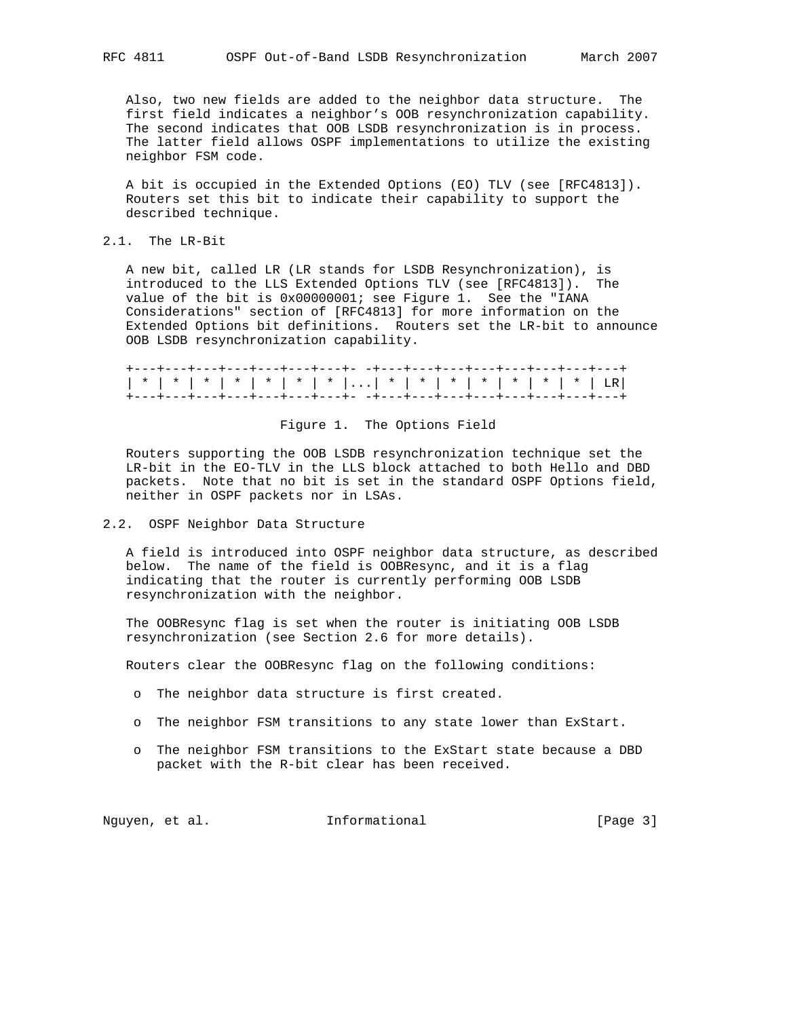Also, two new fields are added to the neighbor data structure. The first field indicates a neighbor's OOB resynchronization capability. The second indicates that OOB LSDB resynchronization is in process. The latter field allows OSPF implementations to utilize the existing neighbor FSM code.

 A bit is occupied in the Extended Options (EO) TLV (see [RFC4813]). Routers set this bit to indicate their capability to support the described technique.

2.1. The LR-Bit

 A new bit, called LR (LR stands for LSDB Resynchronization), is introduced to the LLS Extended Options TLV (see [RFC4813]). The value of the bit is 0x00000001; see Figure 1. See the "IANA Considerations" section of [RFC4813] for more information on the Extended Options bit definitions. Routers set the LR-bit to announce OOB LSDB resynchronization capability.

## Figure 1. The Options Field

 Routers supporting the OOB LSDB resynchronization technique set the LR-bit in the EO-TLV in the LLS block attached to both Hello and DBD packets. Note that no bit is set in the standard OSPF Options field, neither in OSPF packets nor in LSAs.

## 2.2. OSPF Neighbor Data Structure

 A field is introduced into OSPF neighbor data structure, as described below. The name of the field is OOBResync, and it is a flag indicating that the router is currently performing OOB LSDB resynchronization with the neighbor.

 The OOBResync flag is set when the router is initiating OOB LSDB resynchronization (see Section 2.6 for more details).

Routers clear the OOBResync flag on the following conditions:

- o The neighbor data structure is first created.
- o The neighbor FSM transitions to any state lower than ExStart.
- o The neighbor FSM transitions to the ExStart state because a DBD packet with the R-bit clear has been received.

Nguyen, et al. 1nformational 1999 [Page 3]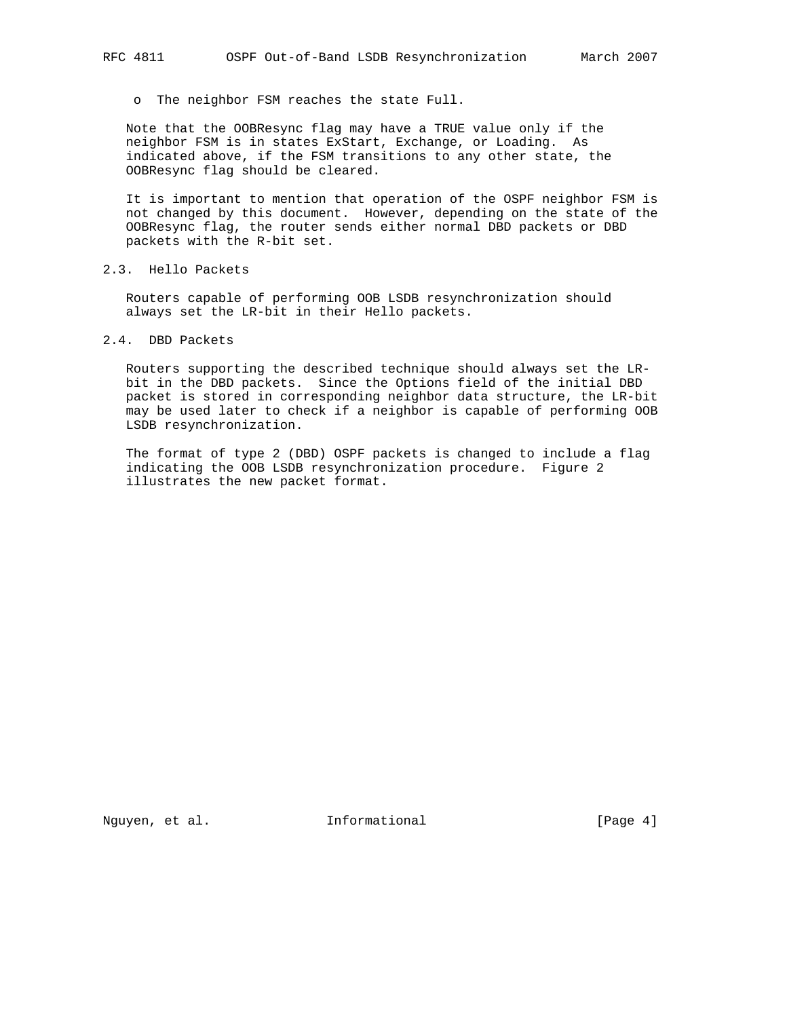o The neighbor FSM reaches the state Full.

 Note that the OOBResync flag may have a TRUE value only if the neighbor FSM is in states ExStart, Exchange, or Loading. As indicated above, if the FSM transitions to any other state, the OOBResync flag should be cleared.

 It is important to mention that operation of the OSPF neighbor FSM is not changed by this document. However, depending on the state of the OOBResync flag, the router sends either normal DBD packets or DBD packets with the R-bit set.

2.3. Hello Packets

 Routers capable of performing OOB LSDB resynchronization should always set the LR-bit in their Hello packets.

2.4. DBD Packets

 Routers supporting the described technique should always set the LR bit in the DBD packets. Since the Options field of the initial DBD packet is stored in corresponding neighbor data structure, the LR-bit may be used later to check if a neighbor is capable of performing OOB LSDB resynchronization.

 The format of type 2 (DBD) OSPF packets is changed to include a flag indicating the OOB LSDB resynchronization procedure. Figure 2 illustrates the new packet format.

Nguyen, et al. **Informational** [Page 4]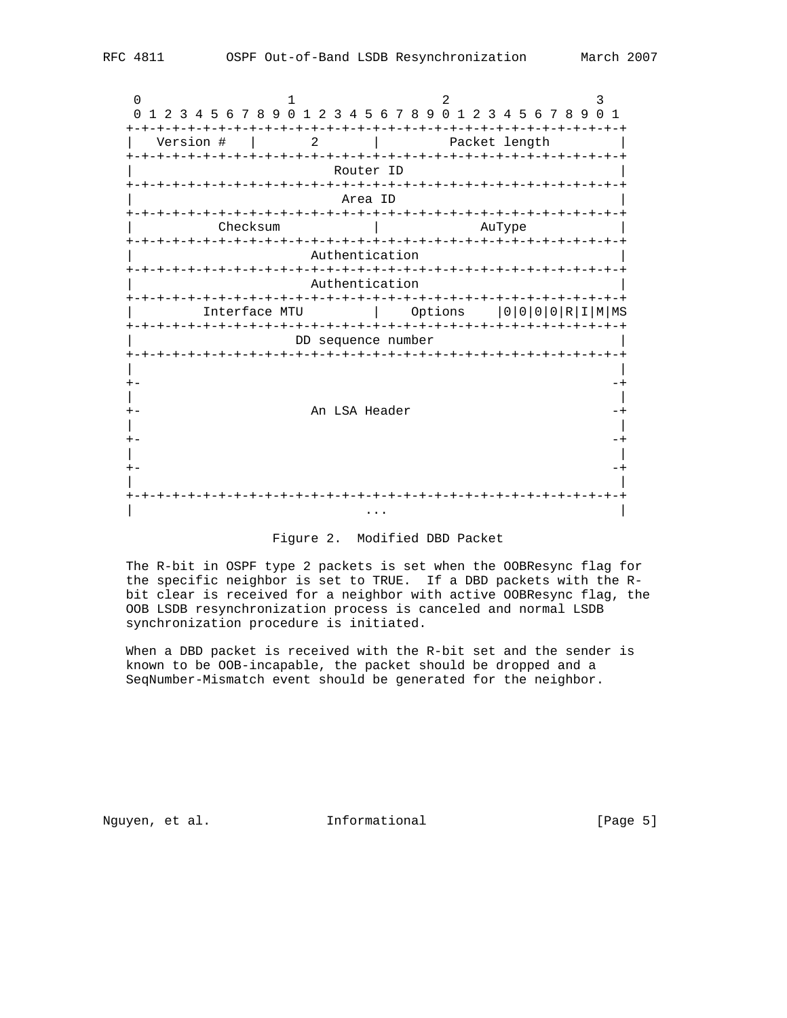0  $1$  2 3 0 1 2 3 4 5 6 7 8 9 0 1 2 3 4 5 6 7 8 9 0 1 2 3 4 5 6 7 8 9 0 1 +-+-+-+-+-+-+-+-+-+-+-+-+-+-+-+-+-+-+-+-+-+-+-+-+-+-+-+-+-+-+-+-+ | Version # | 2 | Packet length | +-+-+-+-+-+-+-+-+-+-+-+-+-+-+-+-+-+-+-+-+-+-+-+-+-+-+-+-+-+-+-+-+ Router ID +-+-+-+-+-+-+-+-+-+-+-+-+-+-+-+-+-+-+-+-+-+-+-+-+-+-+-+-+-+-+-+-+ | Area ID | +-+-+-+-+-+-+-+-+-+-+-+-+-+-+-+-+-+-+-+-+-+-+-+-+-+-+-+-+-+-+-+-+ | Checksum | AuType +-+-+-+-+-+-+-+-+-+-+-+-+-+-+-+-+-+-+-+-+-+-+-+-+-+-+-+-+-+-+-+-+ Authentication +-+-+-+-+-+-+-+-+-+-+-+-+-+-+-+-+-+-+-+-+-+-+-+-+-+-+-+-+-+-+-+-+ Authentication +-+-+-+-+-+-+-+-+-+-+-+-+-+-+-+-+-+-+-+-+-+-+-+-+-+-+-+-+-+-+-+-+ | Interface MTU | Options |0|0|0|0|R|I|M|MS +-+-+-+-+-+-+-+-+-+-+-+-+-+-+-+-+-+-+-+-+-+-+-+-+-+-+-+-+-+-+-+-+ DD sequence number +-+-+-+-+-+-+-+-+-+-+-+-+-+-+-+-+-+-+-+-+-+-+-+-+-+-+-+-+-+-+-+-+ | | +- -+ | | An LSA Header  $-+$  | | +- -+ | | +- -+ | | +-+-+-+-+-+-+-+-+-+-+-+-+-+-+-+-+-+-+-+-+-+-+-+-+-+-+-+-+-+-+-+-+ | ... | ... | ... | ... | ... | ... | ... | ... | ... | ... | ... | ... | ... | ... | ... | ... | ... | ... | .

#### Figure 2. Modified DBD Packet

 The R-bit in OSPF type 2 packets is set when the OOBResync flag for the specific neighbor is set to TRUE. If a DBD packets with the R bit clear is received for a neighbor with active OOBResync flag, the OOB LSDB resynchronization process is canceled and normal LSDB synchronization procedure is initiated.

 When a DBD packet is received with the R-bit set and the sender is known to be OOB-incapable, the packet should be dropped and a SeqNumber-Mismatch event should be generated for the neighbor.

Nguyen, et al. 10 Informational 1999 [Page 5]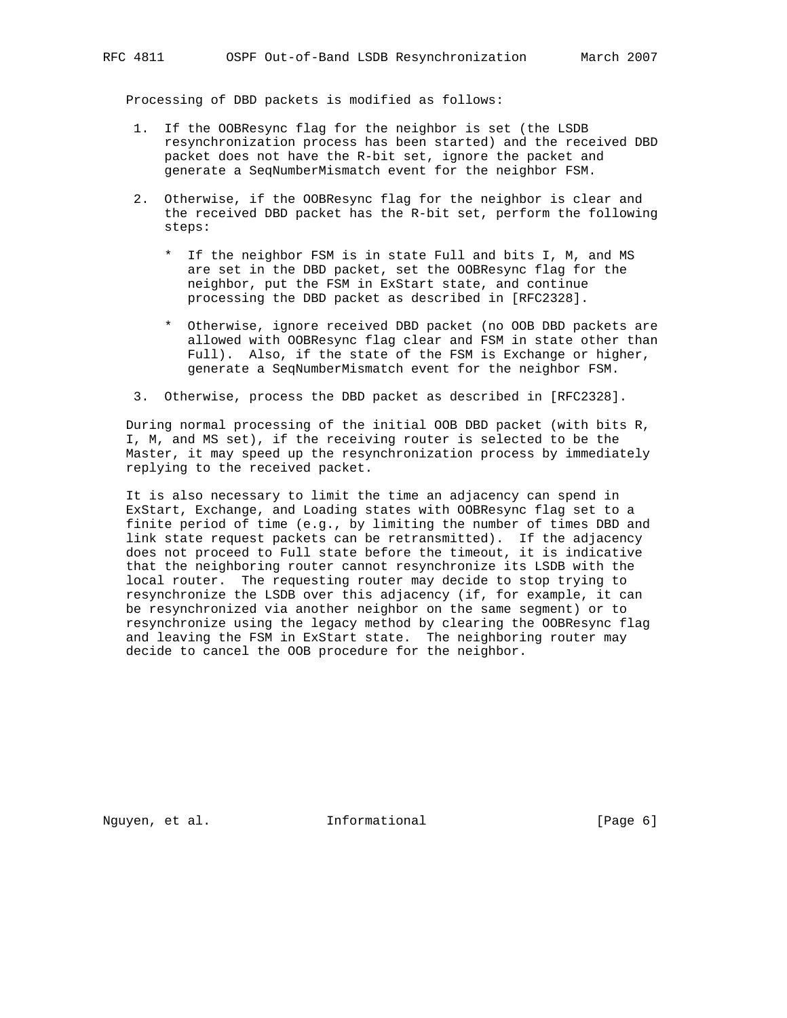Processing of DBD packets is modified as follows:

- 1. If the OOBResync flag for the neighbor is set (the LSDB resynchronization process has been started) and the received DBD packet does not have the R-bit set, ignore the packet and generate a SeqNumberMismatch event for the neighbor FSM.
- 2. Otherwise, if the OOBResync flag for the neighbor is clear and the received DBD packet has the R-bit set, perform the following steps:
	- \* If the neighbor FSM is in state Full and bits I, M, and MS are set in the DBD packet, set the OOBResync flag for the neighbor, put the FSM in ExStart state, and continue processing the DBD packet as described in [RFC2328].
	- \* Otherwise, ignore received DBD packet (no OOB DBD packets are allowed with OOBResync flag clear and FSM in state other than Full). Also, if the state of the FSM is Exchange or higher, generate a SeqNumberMismatch event for the neighbor FSM.
- 3. Otherwise, process the DBD packet as described in [RFC2328].

 During normal processing of the initial OOB DBD packet (with bits R, I, M, and MS set), if the receiving router is selected to be the Master, it may speed up the resynchronization process by immediately replying to the received packet.

 It is also necessary to limit the time an adjacency can spend in ExStart, Exchange, and Loading states with OOBResync flag set to a finite period of time (e.g., by limiting the number of times DBD and link state request packets can be retransmitted). If the adjacency does not proceed to Full state before the timeout, it is indicative that the neighboring router cannot resynchronize its LSDB with the local router. The requesting router may decide to stop trying to resynchronize the LSDB over this adjacency (if, for example, it can be resynchronized via another neighbor on the same segment) or to resynchronize using the legacy method by clearing the OOBResync flag and leaving the FSM in ExStart state. The neighboring router may decide to cancel the OOB procedure for the neighbor.

Nguyen, et al. **Informational** [Page 6]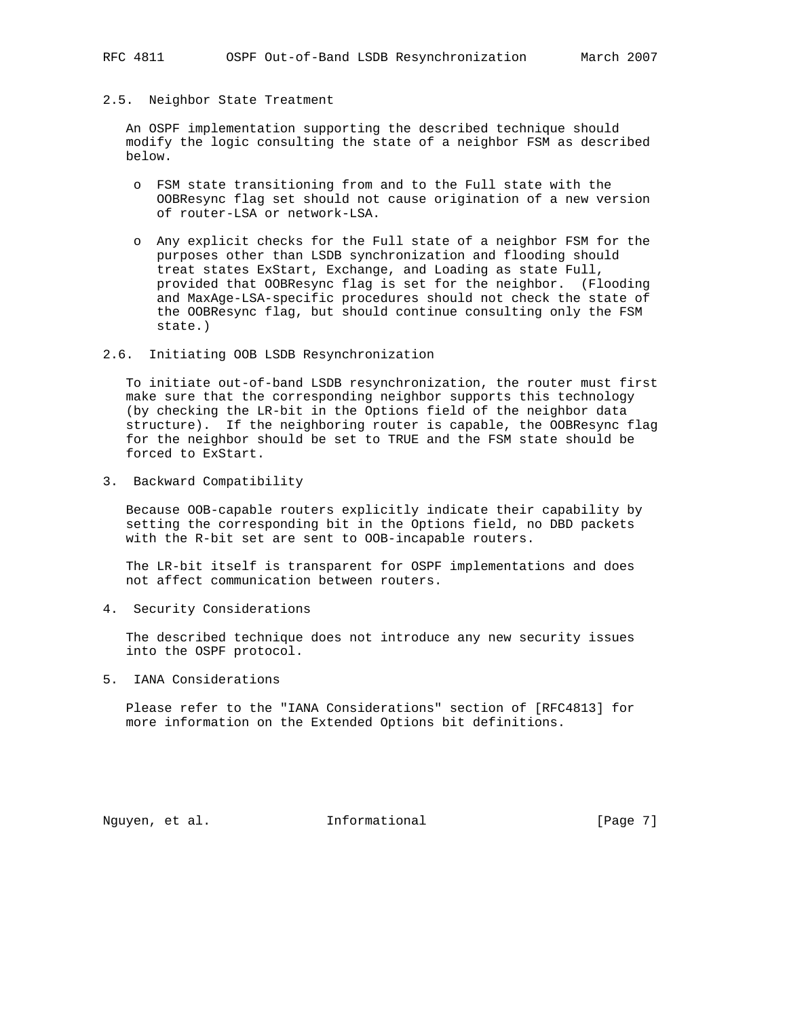#### 2.5. Neighbor State Treatment

 An OSPF implementation supporting the described technique should modify the logic consulting the state of a neighbor FSM as described below.

- o FSM state transitioning from and to the Full state with the OOBResync flag set should not cause origination of a new version of router-LSA or network-LSA.
- o Any explicit checks for the Full state of a neighbor FSM for the purposes other than LSDB synchronization and flooding should treat states ExStart, Exchange, and Loading as state Full, provided that OOBResync flag is set for the neighbor. (Flooding and MaxAge-LSA-specific procedures should not check the state of the OOBResync flag, but should continue consulting only the FSM state.)

## 2.6. Initiating OOB LSDB Resynchronization

 To initiate out-of-band LSDB resynchronization, the router must first make sure that the corresponding neighbor supports this technology (by checking the LR-bit in the Options field of the neighbor data structure). If the neighboring router is capable, the OOBResync flag for the neighbor should be set to TRUE and the FSM state should be forced to ExStart.

3. Backward Compatibility

 Because OOB-capable routers explicitly indicate their capability by setting the corresponding bit in the Options field, no DBD packets with the R-bit set are sent to OOB-incapable routers.

 The LR-bit itself is transparent for OSPF implementations and does not affect communication between routers.

4. Security Considerations

 The described technique does not introduce any new security issues into the OSPF protocol.

5. IANA Considerations

 Please refer to the "IANA Considerations" section of [RFC4813] for more information on the Extended Options bit definitions.

Nguyen, et al. **Informational** [Page 7]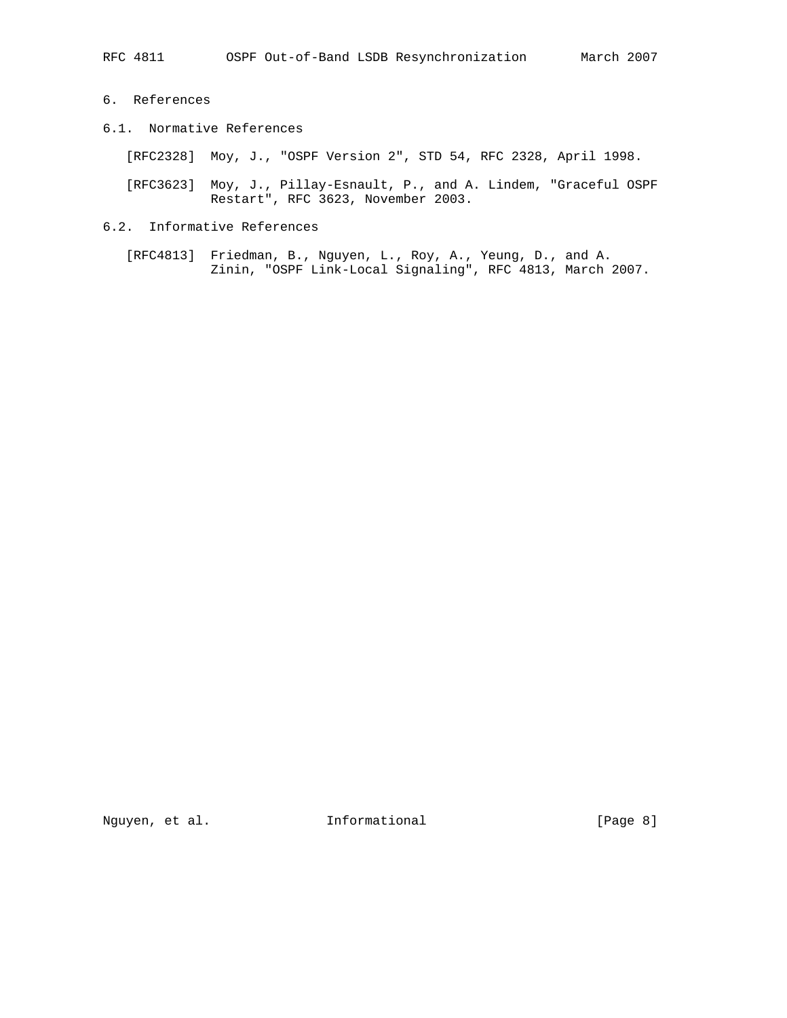- 6. References
- 6.1. Normative References

[RFC2328] Moy, J., "OSPF Version 2", STD 54, RFC 2328, April 1998.

- [RFC3623] Moy, J., Pillay-Esnault, P., and A. Lindem, "Graceful OSPF Restart", RFC 3623, November 2003.
- 6.2. Informative References
	- [RFC4813] Friedman, B., Nguyen, L., Roy, A., Yeung, D., and A. Zinin, "OSPF Link-Local Signaling", RFC 4813, March 2007.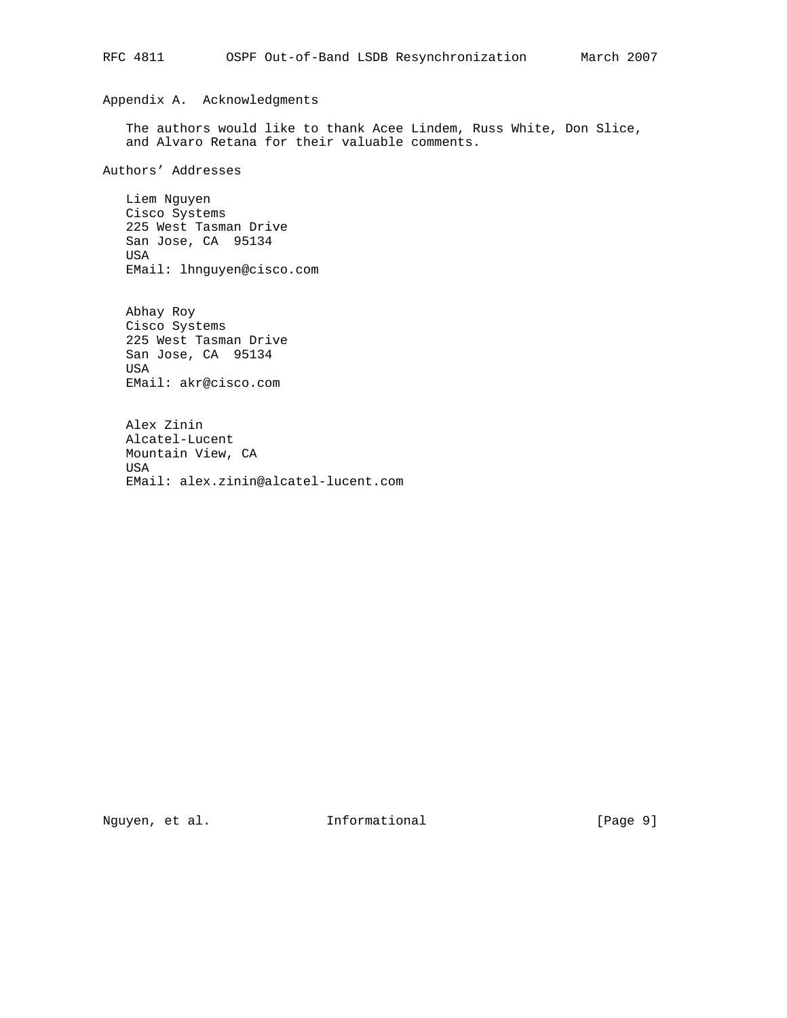# Appendix A. Acknowledgments

 The authors would like to thank Acee Lindem, Russ White, Don Slice, and Alvaro Retana for their valuable comments.

Authors' Addresses

 Liem Nguyen Cisco Systems 225 West Tasman Drive San Jose, CA 95134 USA EMail: lhnguyen@cisco.com

 Abhay Roy Cisco Systems 225 West Tasman Drive San Jose, CA 95134 USA EMail: akr@cisco.com

 Alex Zinin Alcatel-Lucent Mountain View, CA USA EMail: alex.zinin@alcatel-lucent.com

Nguyen, et al. 1nformational 1999 [Page 9]